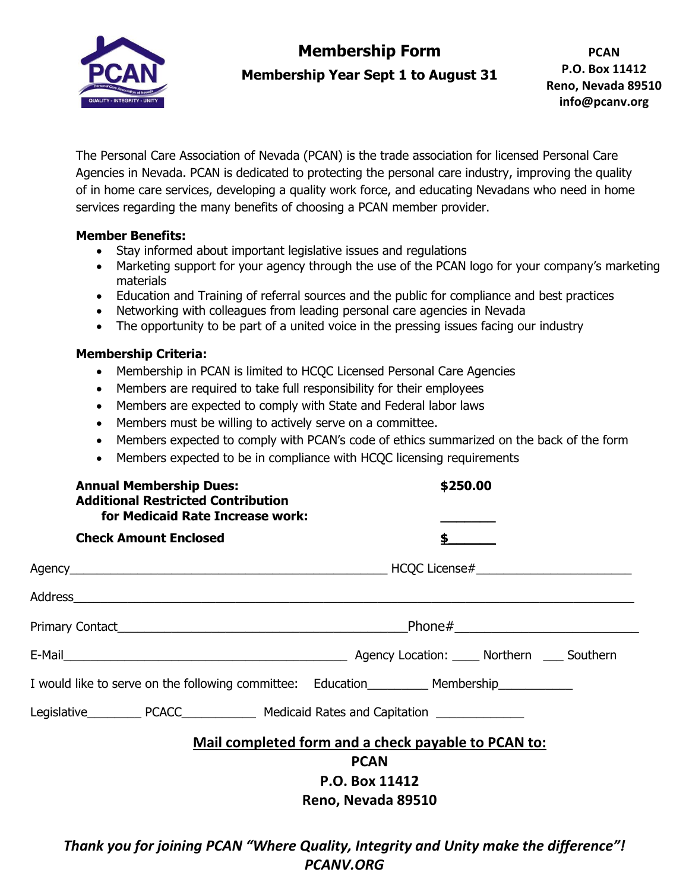

## **Membership Form**

**Membership Year Sept 1 to August 31**

The Personal Care Association of Nevada (PCAN) is the trade association for licensed Personal Care Agencies in Nevada. PCAN is dedicated to protecting the personal care industry, improving the quality of in home care services, developing a quality work force, and educating Nevadans who need in home services regarding the many benefits of choosing a PCAN member provider.

## **Member Benefits:**

- Stay informed about important legislative issues and regulations
- Marketing support for your agency through the use of the PCAN logo for your company's marketing materials
- Education and Training of referral sources and the public for compliance and best practices
- Networking with colleagues from leading personal care agencies in Nevada
- The opportunity to be part of a united voice in the pressing issues facing our industry

## **Membership Criteria:**

- Membership in PCAN is limited to HCQC Licensed Personal Care Agencies
- Members are required to take full responsibility for their employees
- Members are expected to comply with State and Federal labor laws
- Members must be willing to actively serve on a committee.
- Members expected to comply with PCAN's code of ethics summarized on the back of the form
- Members expected to be in compliance with HCQC licensing requirements

| <b>Annual Membership Dues:</b><br><b>Additional Restricted Contribution</b><br>for Medicaid Rate Increase work: | \$250.00                                            |
|-----------------------------------------------------------------------------------------------------------------|-----------------------------------------------------|
| <b>Check Amount Enclosed</b>                                                                                    | $\mathsf{s}$ and $\mathsf{s}$                       |
|                                                                                                                 |                                                     |
|                                                                                                                 |                                                     |
|                                                                                                                 |                                                     |
|                                                                                                                 |                                                     |
| I would like to serve on the following committee: Education___________ Membership____________                   |                                                     |
|                                                                                                                 |                                                     |
|                                                                                                                 | Mail completed form and a check payable to PCAN to: |
| <b>PCAN</b>                                                                                                     |                                                     |
| P.O. Box 11412                                                                                                  |                                                     |
| Reno, Nevada 89510                                                                                              |                                                     |
|                                                                                                                 |                                                     |

*Thank you for joining PCAN "Where Quality, Integrity and Unity make the difference"! PCANV.ORG*